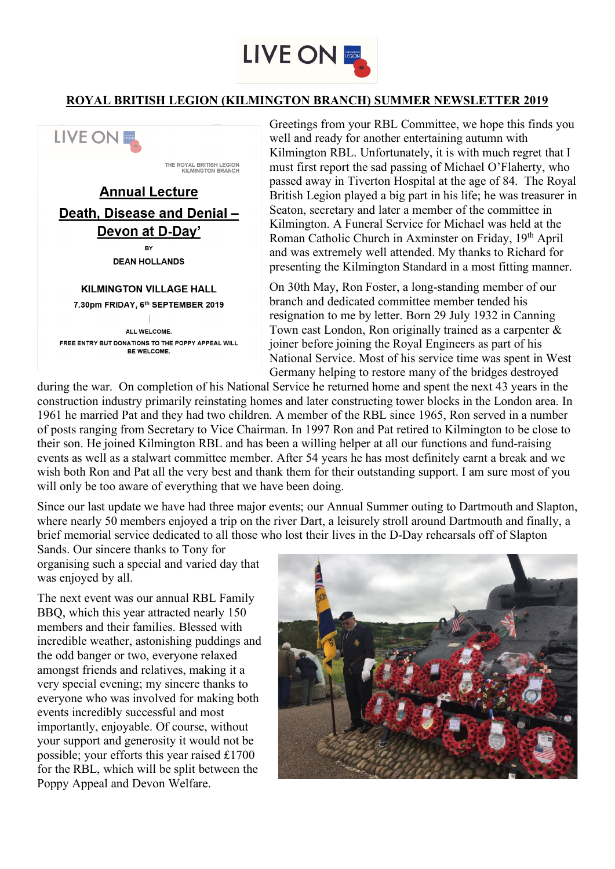

## **ROYAL BRITISH LEGION (KILMINGTON BRANCH) SUMMER NEWSLETTER 2019**



Greetings from your RBL Committee, we hope this finds you well and ready for another entertaining autumn with Kilmington RBL. Unfortunately, it is with much regret that I must first report the sad passing of Michael O'Flaherty, who passed away in Tiverton Hospital at the age of 84. The Royal British Legion played a big part in his life; he was treasurer in Seaton, secretary and later a member of the committee in Kilmington. A Funeral Service for Michael was held at the Roman Catholic Church in Axminster on Friday, 19<sup>th</sup> April and was extremely well attended. My thanks to Richard for presenting the Kilmington Standard in a most fitting manner.

On 30th May, Ron Foster, a long-standing member of our branch and dedicated committee member tended his resignation to me by letter. Born 29 July 1932 in Canning Town east London, Ron originally trained as a carpenter & joiner before joining the Royal Engineers as part of his National Service. Most of his service time was spent in West Germany helping to restore many of the bridges destroyed

during the war. On completion of his National Service he returned home and spent the next 43 years in the construction industry primarily reinstating homes and later constructing tower blocks in the London area. In 1961 he married Pat and they had two children. A member of the RBL since 1965, Ron served in a number of posts ranging from Secretary to Vice Chairman. In 1997 Ron and Pat retired to Kilmington to be close to their son. He joined Kilmington RBL and has been a willing helper at all our functions and fund-raising events as well as a stalwart committee member. After 54 years he has most definitely earnt a break and we wish both Ron and Pat all the very best and thank them for their outstanding support. I am sure most of you will only be too aware of everything that we have been doing.

Since our last update we have had three major events; our Annual Summer outing to Dartmouth and Slapton, where nearly 50 members enjoyed a trip on the river Dart, a leisurely stroll around Dartmouth and finally, a brief memorial service dedicated to all those who lost their lives in the D-Day rehearsals off of Slapton

Sands. Our sincere thanks to Tony for organising such a special and varied day that was enjoyed by all.

The next event was our annual RBL Family BBQ, which this year attracted nearly 150 members and their families. Blessed with incredible weather, astonishing puddings and the odd banger or two, everyone relaxed amongst friends and relatives, making it a very special evening; my sincere thanks to everyone who was involved for making both events incredibly successful and most importantly, enjoyable. Of course, without your support and generosity it would not be possible; your efforts this year raised £1700 for the RBL, which will be split between the Poppy Appeal and Devon Welfare.